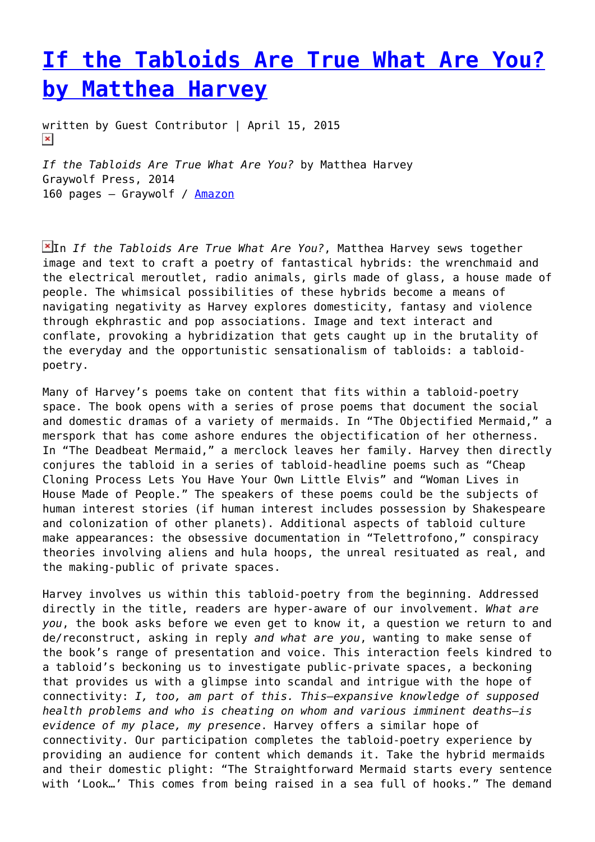## **[If the Tabloids Are True What Are You?](https://entropymag.org/if-the-tabloids-are-true-what-are-you-by-matthew-harvey/) [by Matthea Harvey](https://entropymag.org/if-the-tabloids-are-true-what-are-you-by-matthew-harvey/)**

written by Guest Contributor | April 15, 2015  $\pmb{\times}$ 

*If the Tabloids Are True What Are You?* by Matthea Harvey Graywolf Press, 2014 160 pages – Graywolf / [Amazon](http://www.amazon.com/Tabloids-Are-True-What-You/dp/1555976840/ref=sr_1_1?ie=UTF8&qid=1428504963&sr=8-1&keywords=if+tabloids+are+true+what+are+you)

In *If the Tabloids Are True What Are You?*, Matthea Harvey sews together image and text to craft a poetry of fantastical hybrids: the wrenchmaid and the electrical meroutlet, radio animals, girls made of glass, a house made of people. The whimsical possibilities of these hybrids become a means of navigating negativity as Harvey explores domesticity, fantasy and violence through ekphrastic and pop associations. Image and text interact and conflate, provoking a hybridization that gets caught up in the brutality of the everyday and the opportunistic sensationalism of tabloids: a tabloidpoetry.

Many of Harvey's poems take on content that fits within a tabloid-poetry space. The book opens with a series of prose poems that document the social and domestic dramas of a variety of mermaids. In "The Objectified Mermaid," a merspork that has come ashore endures the objectification of her otherness. In "The Deadbeat Mermaid," a merclock leaves her family. Harvey then directly conjures the tabloid in a series of tabloid-headline poems such as "Cheap Cloning Process Lets You Have Your Own Little Elvis" and "Woman Lives in House Made of People." The speakers of these poems could be the subjects of human interest stories (if human interest includes possession by Shakespeare and colonization of other planets). Additional aspects of tabloid culture make appearances: the obsessive documentation in "Telettrofono," conspiracy theories involving aliens and hula hoops, the unreal resituated as real, and the making-public of private spaces.

Harvey involves us within this tabloid-poetry from the beginning. Addressed directly in the title, readers are hyper-aware of our involvement. *What are you*, the book asks before we even get to know it, a question we return to and de/reconstruct, asking in reply *and what are you*, wanting to make sense of the book's range of presentation and voice. This interaction feels kindred to a tabloid's beckoning us to investigate public-private spaces, a beckoning that provides us with a glimpse into scandal and intrigue with the hope of connectivity: *I, too, am part of this. This—expansive knowledge of supposed health problems and who is cheating on whom and various imminent deaths—is evidence of my place, my presence*. Harvey offers a similar hope of connectivity. Our participation completes the tabloid-poetry experience by providing an audience for content which demands it. Take the hybrid mermaids and their domestic plight: "The Straightforward Mermaid starts every sentence with 'Look…' This comes from being raised in a sea full of hooks." The demand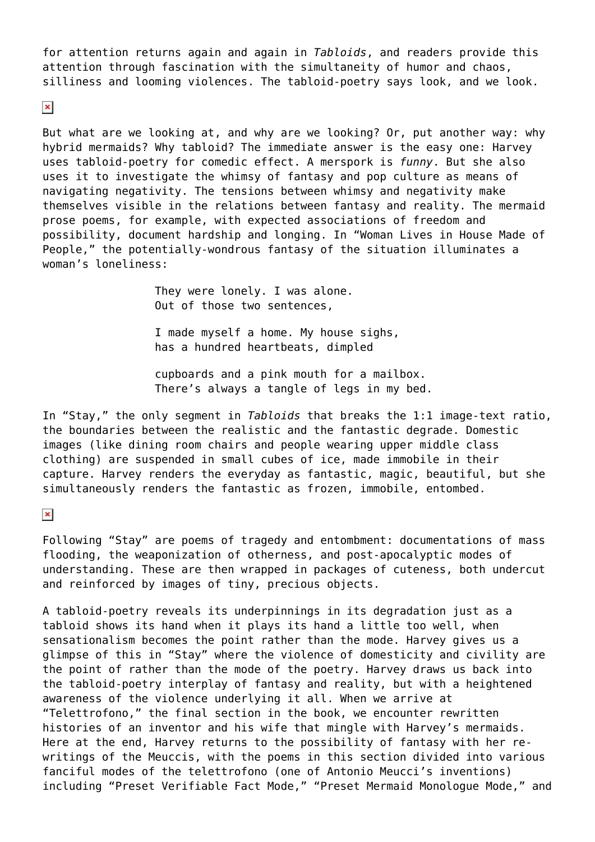for attention returns again and again in *Tabloids*, and readers provide this attention through fascination with the simultaneity of humor and chaos, silliness and looming violences. The tabloid-poetry says look, and we look.

 $\pmb{\times}$ 

But what are we looking at, and why are we looking? Or, put another way: why hybrid mermaids? Why tabloid? The immediate answer is the easy one: Harvey uses tabloid-poetry for comedic effect. A merspork is *funny*. But she also uses it to investigate the whimsy of fantasy and pop culture as means of navigating negativity. The tensions between whimsy and negativity make themselves visible in the relations between fantasy and reality. The mermaid prose poems, for example, with expected associations of freedom and possibility, document hardship and longing. In "Woman Lives in House Made of People," the potentially-wondrous fantasy of the situation illuminates a woman's loneliness:

> They were lonely. I was alone. Out of those two sentences,

I made myself a home. My house sighs, has a hundred heartbeats, dimpled

cupboards and a pink mouth for a mailbox. There's always a tangle of legs in my bed.

In "Stay," the only segment in *Tabloids* that breaks the 1:1 image-text ratio, the boundaries between the realistic and the fantastic degrade. Domestic images (like dining room chairs and people wearing upper middle class clothing) are suspended in small cubes of ice, made immobile in their capture. Harvey renders the everyday as fantastic, magic, beautiful, but she simultaneously renders the fantastic as frozen, immobile, entombed.

 $\pmb{\times}$ 

Following "Stay" are poems of tragedy and entombment: documentations of mass flooding, the weaponization of otherness, and post-apocalyptic modes of understanding. These are then wrapped in packages of cuteness, both undercut and reinforced by images of tiny, precious objects.

A tabloid-poetry reveals its underpinnings in its degradation just as a tabloid shows its hand when it plays its hand a little too well, when sensationalism becomes the point rather than the mode. Harvey gives us a glimpse of this in "Stay" where the violence of domesticity and civility are the point of rather than the mode of the poetry. Harvey draws us back into the tabloid-poetry interplay of fantasy and reality, but with a heightened awareness of the violence underlying it all. When we arrive at "Telettrofono," the final section in the book, we encounter rewritten histories of an inventor and his wife that mingle with Harvey's mermaids. Here at the end, Harvey returns to the possibility of fantasy with her rewritings of the Meuccis, with the poems in this section divided into various fanciful modes of the telettrofono (one of Antonio Meucci's inventions) including "Preset Verifiable Fact Mode," "Preset Mermaid Monologue Mode," and